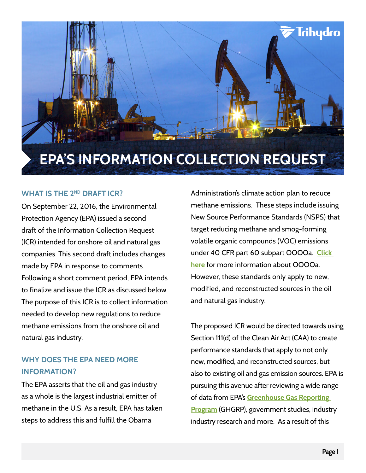

### **WHAT IS THE 2ND DRAFT ICR?**

On September 22, 2016, the Environmental Protection Agency (EPA) issued a second draft of the Information Collection Request (ICR) intended for onshore oil and natural gas companies. This second draft includes changes made by EPA in response to comments. Following a short comment period, EPA intends to finalize and issue the ICR as discussed below. The purpose of this ICR is to collect information needed to develop new regulations to reduce methane emissions from the onshore oil and natural gas industry.

## **WHY DOES THE EPA NEED MORE INFORMATION?**

The EPA asserts that the oil and gas industry as a whole is the largest industrial emitter of methane in the U.S. As a result, EPA has taken steps to address this and fulfill the Obama

Administration's climate action plan to reduce methane emissions. These steps include issuing New Source Performance Standards (NSPS) that target reducing methane and smog-forming volatile organic compounds (VOC) emissions under 40 CFR part 60 subpart OOOOa. **[Click](https://www.trihydro.com/docs/default-source/default-document-library/nsps_ooooa_eblastupdate_final.pdf)  [here](https://www.trihydro.com/docs/default-source/default-document-library/nsps_ooooa_eblastupdate_final.pdf)** for more information about OOOOa. However, these standards only apply to new, modified, and reconstructed sources in the oil and natural gas industry.

The proposed ICR would be directed towards using Section 111(d) of the Clean Air Act (CAA) to create performance standards that apply to not only new, modified, and reconstructed sources, but also to existing oil and gas emission sources. EPA is pursuing this avenue after reviewing a wide range of data from EPA's **[Greenhouse Gas Reporting](https://www.epa.gov/ghgreporting)  [Program](https://www.epa.gov/ghgreporting)** (GHGRP), government studies, industry industry research and more. As a result of this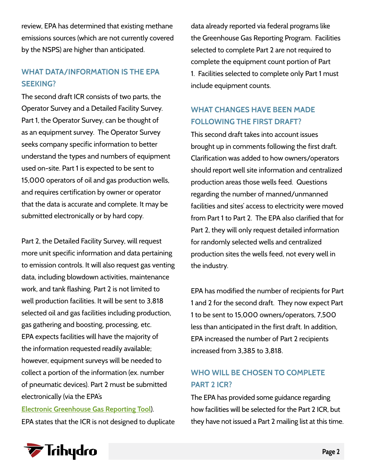review, EPA has determined that existing methane emissions sources (which are not currently covered by the NSPS) are higher than anticipated.

# **WHAT DATA/INFORMATION IS THE EPA SEEKING?**

The second draft ICR consists of two parts, the Operator Survey and a Detailed Facility Survey. Part 1, the Operator Survey, can be thought of as an equipment survey. The Operator Survey seeks company specific information to better understand the types and numbers of equipment used on-site. Part 1 is expected to be sent to 15,000 operators of oil and gas production wells, and requires certification by owner or operator that the data is accurate and complete. It may be submitted electronically or by hard copy.

Part 2, the Detailed Facility Survey, will request more unit specific information and data pertaining to emission controls. It will also request gas venting data, including blowdown activities, maintenance work, and tank flashing. Part 2 is not limited to well production facilities. It will be sent to 3,818 selected oil and gas facilities including production, gas gathering and boosting, processing, etc. EPA expects facilities will have the majority of the information requested readily available; however, equipment surveys will be needed to collect a portion of the information (ex. number of pneumatic devices). Part 2 must be submitted electronically (via the EPA's

**[Electronic Greenhouse Gas Reporting Tool](https://ghgreporting.epa.gov/ghg/login.do)**). EPA states that the ICR is not designed to duplicate

data already reported via federal programs like the Greenhouse Gas Reporting Program. Facilities selected to complete Part 2 are not required to complete the equipment count portion of Part 1. Facilities selected to complete only Part 1 must include equipment counts.

# **WHAT CHANGES HAVE BEEN MADE FOLLOWING THE FIRST DRAFT?**

This second draft takes into account issues brought up in comments following the first draft. Clarification was added to how owners/operators should report well site information and centralized production areas those wells feed. Questions regarding the number of manned/unmanned facilities and sites' access to electricity were moved from Part 1 to Part 2. The EPA also clarified that for Part 2, they will only request detailed information for randomly selected wells and centralized production sites the wells feed, not every well in the industry.

EPA has modified the number of recipients for Part 1 and 2 for the second draft. They now expect Part 1 to be sent to 15,000 owners/operators, 7,500 less than anticipated in the first draft. In addition, EPA increased the number of Part 2 recipients increased from 3,385 to 3,818.

# **WHO WILL BE CHOSEN TO COMPLETE PART 2 ICR?**

The EPA has provided some guidance regarding how facilities will be selected for the Part 2 ICR, but they have not issued a Part 2 mailing list at this time.